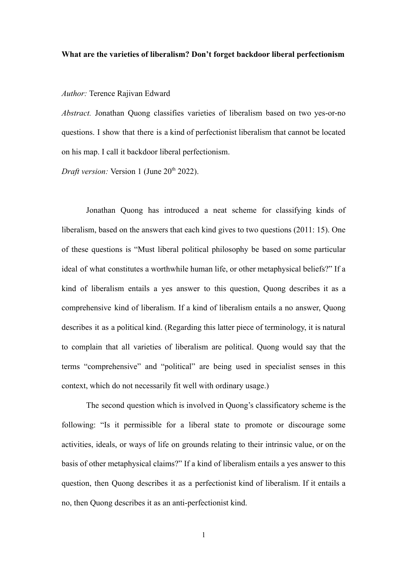## **What are the varieties of liberalism? Don't forget backdoor liberal perfectionism**

*Author:* Terence Rajivan Edward

*Abstract.* Jonathan Quong classifies varieties of liberalism based on two yes-or-no questions. I show that there is a kind of perfectionist liberalism that cannot be located on his map. I call it backdoor liberal perfectionism.

*Draft version:* Version 1 (June 20<sup>th</sup> 2022).

Jonathan Quong has introduced a neat scheme for classifying kinds of liberalism, based on the answers that each kind gives to two questions (2011: 15). One of these questions is "Must liberal political philosophy be based on some particular ideal of what constitutes a worthwhile human life, or other metaphysical beliefs?" If a kind of liberalism entails a yes answer to this question, Quong describes it as a comprehensive kind of liberalism. If a kind of liberalism entails a no answer, Quong describes it as a political kind. (Regarding this latter piece of terminology, it is natural to complain that all varieties of liberalism are political. Quong would say that the terms "comprehensive" and "political" are being used in specialist senses in this context, which do not necessarily fit well with ordinary usage.)

The second question which is involved in Quong's classificatory scheme is the following: "Is it permissible for a liberal state to promote or discourage some activities, ideals, or ways of life on grounds relating to their intrinsic value, or on the basis of other metaphysical claims?" If a kind of liberalism entails a yes answer to this question, then Quong describes it as a perfectionist kind of liberalism. If it entails a no, then Quong describes it as an anti-perfectionist kind.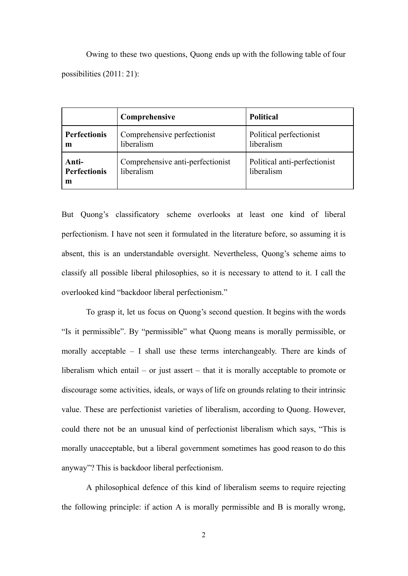Owing to these two questions, Quong ends up with the following table of four possibilities (2011: 21):

|                                   | Comprehensive                                  | <b>Political</b>                           |
|-----------------------------------|------------------------------------------------|--------------------------------------------|
| <b>Perfectionis</b><br>m          | Comprehensive perfectionist<br>liberalism      | Political perfectionist<br>liberalism      |
| Anti-<br><b>Perfectionis</b><br>m | Comprehensive anti-perfectionist<br>liberalism | Political anti-perfectionist<br>liberalism |

But Quong's classificatory scheme overlooks at least one kind of liberal perfectionism. I have not seen it formulated in the literature before, so assuming it is absent, this is an understandable oversight. Nevertheless, Quong's scheme aims to classify all possible liberal philosophies, so it is necessary to attend to it. I call the overlooked kind "backdoor liberal perfectionism."

To grasp it, let us focus on Quong's second question. It begins with the words "Is it permissible". By "permissible" what Quong means is morally permissible, or morally acceptable – I shall use these terms interchangeably. There are kinds of liberalism which entail – or just assert – that it is morally acceptable to promote or discourage some activities, ideals, or ways of life on grounds relating to their intrinsic value. These are perfectionist varieties of liberalism, according to Quong. However, could there not be an unusual kind of perfectionist liberalism which says, "This is morally unacceptable, but a liberal government sometimes has good reason to do this anyway"? This is backdoor liberal perfectionism.

A philosophical defence of this kind of liberalism seems to require rejecting the following principle: if action A is morally permissible and B is morally wrong,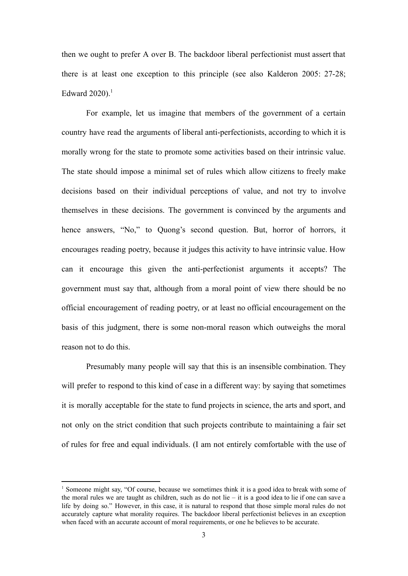then we ought to prefer A over B. The backdoor liberal perfectionist must assert that there is at least one exception to this principle (see also Kalderon 2005: 27-28; Edward  $2020$ ).<sup>1</sup>

For example, let us imagine that members of the government of a certain country have read the arguments of liberal anti-perfectionists, according to which it is morally wrong for the state to promote some activities based on their intrinsic value. The state should impose a minimal set of rules which allow citizens to freely make decisions based on their individual perceptions of value, and not try to involve themselves in these decisions. The government is convinced by the arguments and hence answers, "No," to Quong's second question. But, horror of horrors, it encourages reading poetry, because it judges this activity to have intrinsic value. How can it encourage this given the anti-perfectionist arguments it accepts? The government must say that, although from a moral point of view there should be no official encouragement of reading poetry, or at least no official encouragement on the basis of this judgment, there is some non-moral reason which outweighs the moral reason not to do this.

Presumably many people will say that this is an insensible combination. They will prefer to respond to this kind of case in a different way: by saying that sometimes it is morally acceptable for the state to fund projects in science, the arts and sport, and not only on the strict condition that such projects contribute to maintaining a fair set of rules for free and equal individuals. (I am not entirely comfortable with the use of

<sup>&</sup>lt;sup>1</sup> Someone might say, "Of course, because we sometimes think it is a good idea to break with some of the moral rules we are taught as children, such as do not lie – it is a good idea to lie if one can save a life by doing so." However, in this case, it is natural to respond that those simple moral rules do not accurately capture what morality requires. The backdoor liberal perfectionist believes in an exception when faced with an accurate account of moral requirements, or one he believes to be accurate.